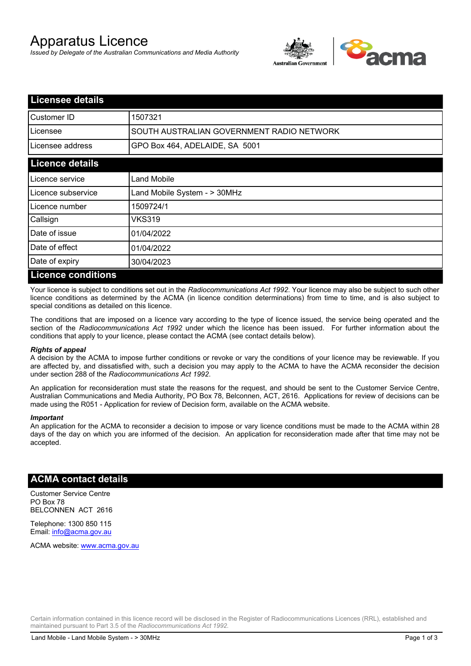# Apparatus Licence

*Issued by Delegate of the Australian Communications and Media Authority*



| <b>Licensee details</b>   |                                           |  |  |
|---------------------------|-------------------------------------------|--|--|
| Customer ID               | 1507321                                   |  |  |
| Licensee                  | SOUTH AUSTRALIAN GOVERNMENT RADIO NETWORK |  |  |
| Licensee address          | GPO Box 464, ADELAIDE, SA 5001            |  |  |
| <b>Licence details</b>    |                                           |  |  |
| Licence service           | Land Mobile                               |  |  |
| Licence subservice        | Land Mobile System - > 30MHz              |  |  |
| Licence number            | 1509724/1                                 |  |  |
| Callsign                  | VKS319                                    |  |  |
| Date of issue             | 01/04/2022                                |  |  |
| Date of effect            | 01/04/2022                                |  |  |
| Date of expiry            | 30/04/2023                                |  |  |
| <b>Licence conditions</b> |                                           |  |  |

Your licence is subject to conditions set out in the *Radiocommunications Act 1992*. Your licence may also be subject to such other licence conditions as determined by the ACMA (in licence condition determinations) from time to time, and is also subject to special conditions as detailed on this licence.

The conditions that are imposed on a licence vary according to the type of licence issued, the service being operated and the section of the *Radiocommunications Act 1992* under which the licence has been issued. For further information about the conditions that apply to your licence, please contact the ACMA (see contact details below).

#### *Rights of appeal*

A decision by the ACMA to impose further conditions or revoke or vary the conditions of your licence may be reviewable. If you are affected by, and dissatisfied with, such a decision you may apply to the ACMA to have the ACMA reconsider the decision under section 288 of the *Radiocommunications Act 1992*.

An application for reconsideration must state the reasons for the request, and should be sent to the Customer Service Centre, Australian Communications and Media Authority, PO Box 78, Belconnen, ACT, 2616. Applications for review of decisions can be made using the R051 - Application for review of Decision form, available on the ACMA website.

#### *Important*

An application for the ACMA to reconsider a decision to impose or vary licence conditions must be made to the ACMA within 28 days of the day on which you are informed of the decision. An application for reconsideration made after that time may not be accepted.

### **ACMA contact details**

Customer Service Centre PO Box 78 BELCONNEN ACT 2616

Telephone: 1300 850 115 Email: info@acma.gov.au

ACMA website: www.acma.gov.au

Certain information contained in this licence record will be disclosed in the Register of Radiocommunications Licences (RRL), established and maintained pursuant to Part 3.5 of the *Radiocommunications Act 1992.*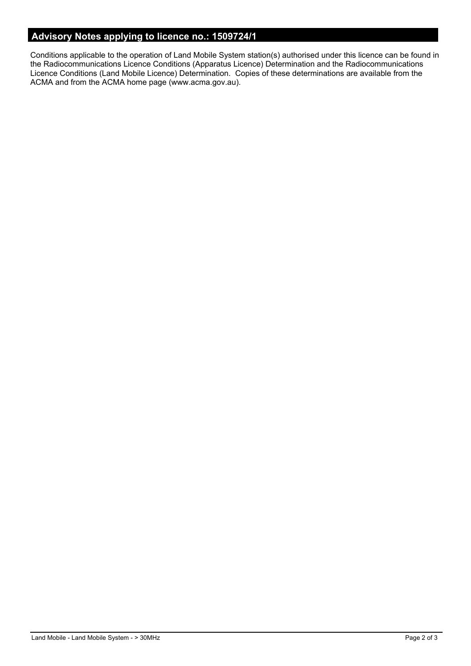## **Advisory Notes applying to licence no.: 1509724/1**

Conditions applicable to the operation of Land Mobile System station(s) authorised under this licence can be found in the Radiocommunications Licence Conditions (Apparatus Licence) Determination and the Radiocommunications Licence Conditions (Land Mobile Licence) Determination. Copies of these determinations are available from the ACMA and from the ACMA home page (www.acma.gov.au).